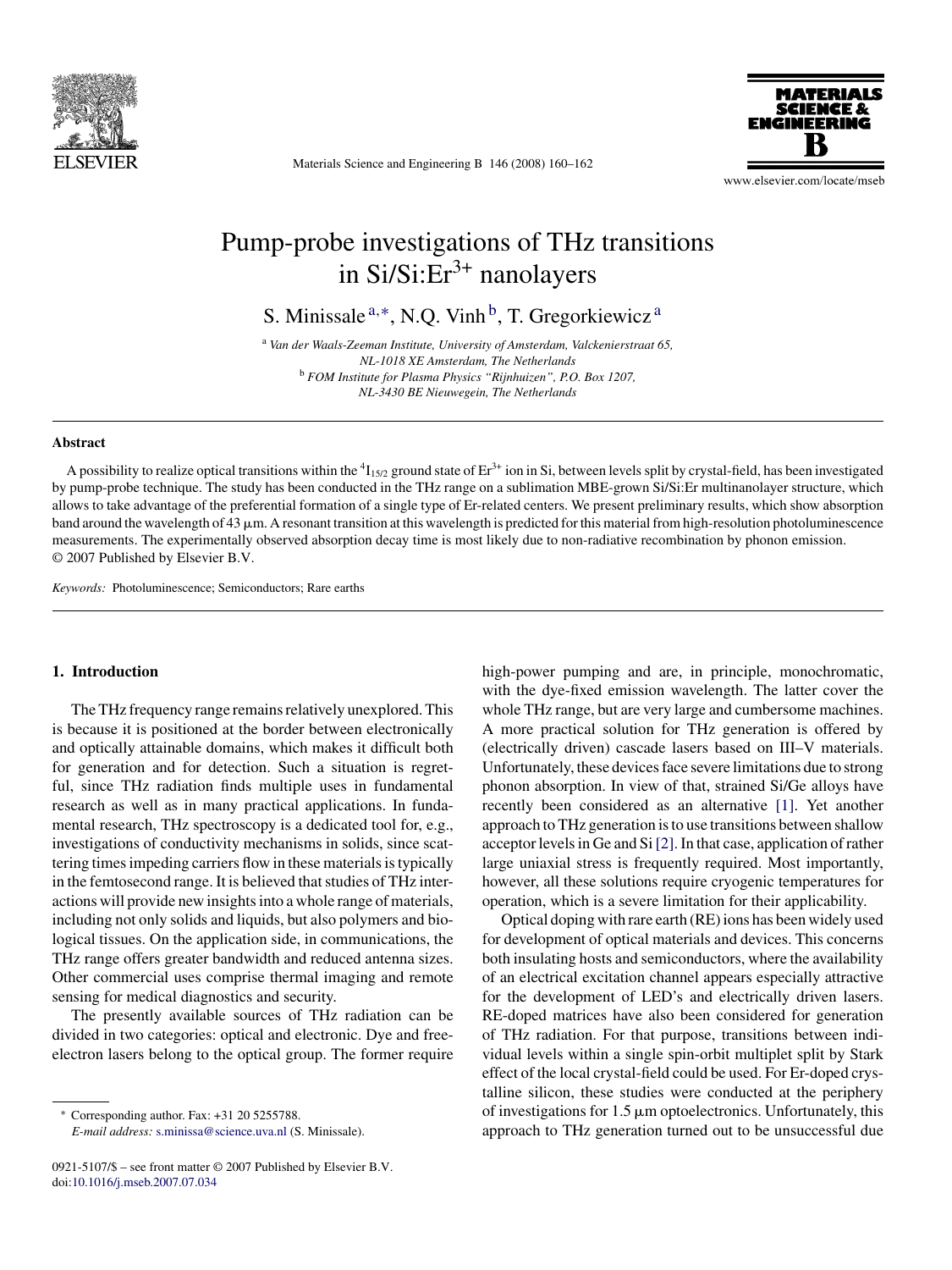

Materials Science and Engineering B 146 (2008) 160–162



www.elsevier.com/locate/mseb

# Pump-probe investigations of THz transitions in  $Si/Si:Er<sup>3+</sup>$  nanolayers

S. Minissale<sup>a,\*</sup>, N.Q. Vinh<sup>b</sup>, T. Gregorkiewicz<sup>a</sup>

<sup>a</sup> *Van der Waals-Zeeman Institute, University of Amsterdam, Valckenierstraat 65, NL-1018 XE Amsterdam, The Netherlands* <sup>b</sup> *FOM Institute for Plasma Physics "Rijnhuizen", P.O. Box 1207, NL-3430 BE Nieuwegein, The Netherlands*

#### **Abstract**

A possibility to realize optical transitions within the  ${}^{4}I_{15/2}$  ground state of Er<sup>3+</sup> ion in Si, between levels split by crystal-field, has been investigated by pump-probe technique. The study has been conducted in the THz range on a sublimation MBE-grown Si/Si:Er multinanolayer structure, which allows to take advantage of the preferential formation of a single type of Er-related centers. We present preliminary results, which show absorption band around the wavelength of 43  $\mu$ m. A resonant transition at this wavelength is predicted for this material from high-resolution photoluminescence measurements. The experimentally observed absorption decay time is most likely due to non-radiative recombination by phonon emission. © 2007 Published by Elsevier B.V.

*Keywords:* Photoluminescence; Semiconductors; Rare earths

## **1. Introduction**

The THz frequency range remains relatively unexplored. This is because it is positioned at the border between electronically and optically attainable domains, which makes it difficult both for generation and for detection. Such a situation is regretful, since THz radiation finds multiple uses in fundamental research as well as in many practical applications. In fundamental research, THz spectroscopy is a dedicated tool for, e.g., investigations of conductivity mechanisms in solids, since scattering times impeding carriers flow in these materials is typically in the femtosecond range. It is believed that studies of THz interactions will provide new insights into a whole range of materials, including not only solids and liquids, but also polymers and biological tissues. On the application side, in communications, the THz range offers greater bandwidth and reduced antenna sizes. Other commercial uses comprise thermal imaging and remote sensing for medical diagnostics and security.

The presently available sources of THz radiation can be divided in two categories: optical and electronic. Dye and freeelectron lasers belong to the optical group. The former require

∗ Corresponding author. Fax: +31 20 5255788.

*E-mail address:* [s.minissa@science.uva.nl](mailto:s.minissa@science.uva.nl) (S. Minissale).

high-power pumping and are, in principle, monochromatic, with the dye-fixed emission wavelength. The latter cover the whole THz range, but are very large and cumbersome machines. A more practical solution for THz generation is offered by (electrically driven) cascade lasers based on III–V materials. Unfortunately, these devices face severe limitations due to strong phonon absorption. In view of that, strained Si/Ge alloys have recently been considered as an alternative [\[1\].](#page-2-0) Yet another approach to THz generation is to use transitions between shallow acceptor levels in Ge and Si[\[2\]. I](#page-2-0)n that case, application of rather large uniaxial stress is frequently required. Most importantly, however, all these solutions require cryogenic temperatures for operation, which is a severe limitation for their applicability.

Optical doping with rare earth (RE) ions has been widely used for development of optical materials and devices. This concerns both insulating hosts and semiconductors, where the availability of an electrical excitation channel appears especially attractive for the development of LED's and electrically driven lasers. RE-doped matrices have also been considered for generation of THz radiation. For that purpose, transitions between individual levels within a single spin-orbit multiplet split by Stark effect of the local crystal-field could be used. For Er-doped crystalline silicon, these studies were conducted at the periphery of investigations for  $1.5 \mu m$  optoelectronics. Unfortunately, this approach to THz generation turned out to be unsuccessful due

<sup>0921-5107/\$ –</sup> see front matter © 2007 Published by Elsevier B.V. doi[:10.1016/j.mseb.2007.07.034](dx.doi.org/10.1016/j.mseb.2007.07.034)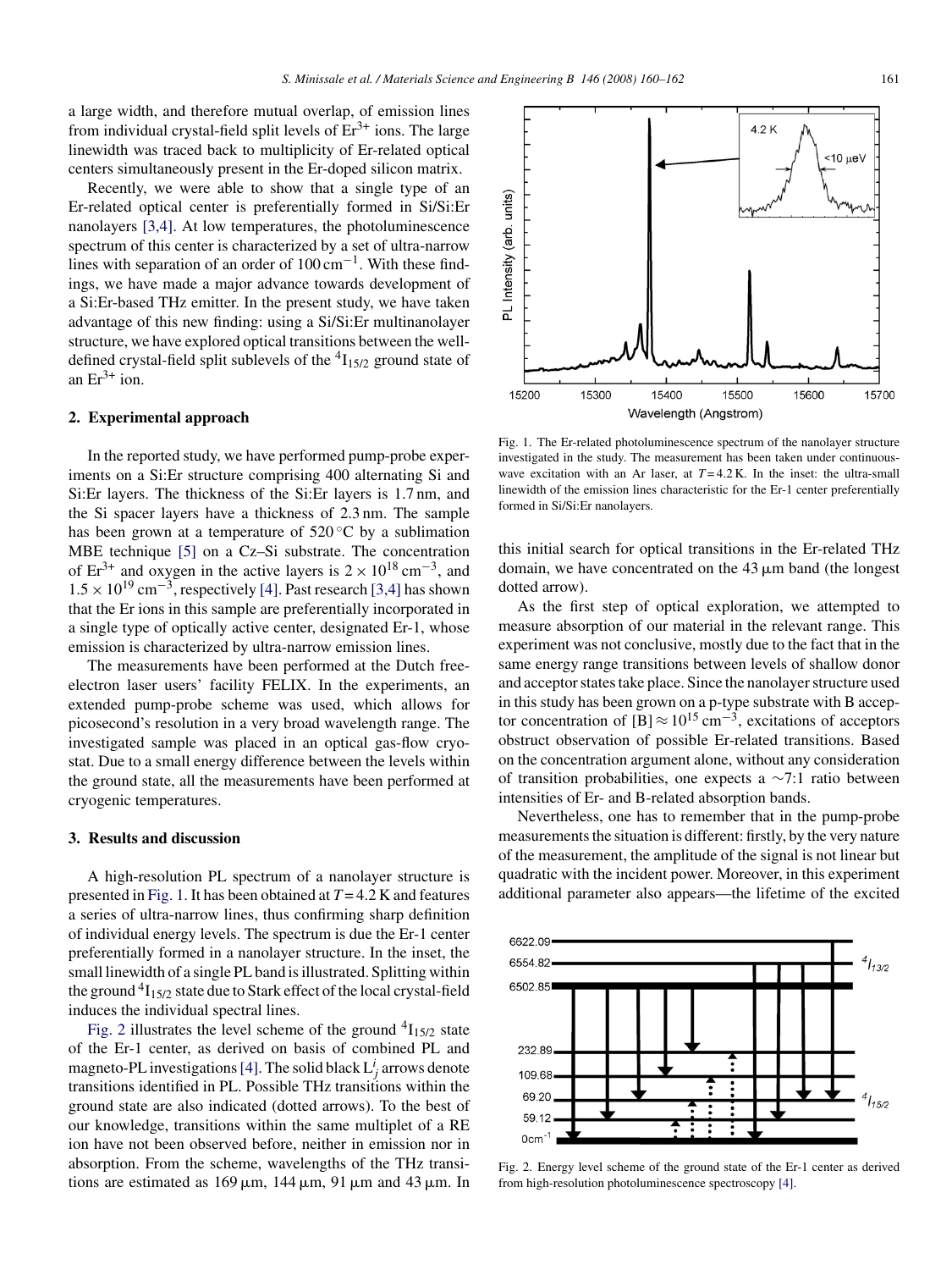a large width, and therefore mutual overlap, of emission lines from individual crystal-field split levels of  $Er^{3+}$  ions. The large linewidth was traced back to multiplicity of Er-related optical centers simultaneously present in the Er-doped silicon matrix.

Recently, we were able to show that a single type of an Er-related optical center is preferentially formed in Si/Si:Er nanolayers [\[3,4\].](#page-2-0) At low temperatures, the photoluminescence spectrum of this center is characterized by a set of ultra-narrow lines with separation of an order of  $100 \text{ cm}^{-1}$ . With these findings, we have made a major advance towards development of a Si:Er-based THz emitter. In the present study, we have taken advantage of this new finding: using a Si/Si:Er multinanolayer structure, we have explored optical transitions between the welldefined crystal-field split sublevels of the  ${}^{4}I_{15/2}$  ground state of an  $Er^{3+}$  ion.

### **2. Experimental approach**

In the reported study, we have performed pump-probe experiments on a Si:Er structure comprising 400 alternating Si and Si:Er layers. The thickness of the Si:Er layers is 1.7 nm, and the Si spacer layers have a thickness of 2.3 nm. The sample has been grown at a temperature of  $520\,^{\circ}\text{C}$  by a sublimation MBE technique [\[5\]](#page-2-0) on a Cz–Si substrate. The concentration of Er<sup>3+</sup> and oxygen in the active layers is  $2 \times 10^{18}$  cm<sup>-3</sup>, and  $1.5 \times 10^{19}$  cm<sup>-3</sup>, respectively [\[4\]. P](#page-2-0)ast research [\[3,4\]](#page-2-0) has shown that the Er ions in this sample are preferentially incorporated in a single type of optically active center, designated Er-1, whose emission is characterized by ultra-narrow emission lines.

The measurements have been performed at the Dutch freeelectron laser users' facility FELIX. In the experiments, an extended pump-probe scheme was used, which allows for picosecond's resolution in a very broad wavelength range. The investigated sample was placed in an optical gas-flow cryostat. Due to a small energy difference between the levels within the ground state, all the measurements have been performed at cryogenic temperatures.

## **3. Results and discussion**

A high-resolution PL spectrum of a nanolayer structure is presented in Fig. 1. It has been obtained at *T* = 4.2 K and features a series of ultra-narrow lines, thus confirming sharp definition of individual energy levels. The spectrum is due the Er-1 center preferentially formed in a nanolayer structure. In the inset, the small linewidth of a single PL band is illustrated. Splitting within the ground  ${}^{4}I_{15/2}$  state due to Stark effect of the local crystal-field induces the individual spectral lines.

Fig. 2 illustrates the level scheme of the ground  $^{4}I_{15/2}$  state of the Er-1 center, as derived on basis of combined PL and magneto-PL investigations [\[4\]. T](#page-2-0)he solid black  $L_j^i$  arrows denote transitions identified in PL. Possible THz transitions within the ground state are also indicated (dotted arrows). To the best of our knowledge, transitions within the same multiplet of a RE ion have not been observed before, neither in emission nor in absorption. From the scheme, wavelengths of the THz transitions are estimated as  $169 \mu m$ ,  $144 \mu m$ ,  $91 \mu m$  and  $43 \mu m$ . In

Fig. 1. The Er-related photoluminescence spectrum of the nanolayer structure investigated in the study. The measurement has been taken under continuouswave excitation with an Ar laser, at  $T = 4.2$  K. In the inset: the ultra-small linewidth of the emission lines characteristic for the Er-1 center preferentially formed in Si/Si:Er nanolayers.

this initial search for optical transitions in the Er-related THz domain, we have concentrated on the  $43 \mu m$  band (the longest dotted arrow).

As the first step of optical exploration, we attempted to measure absorption of our material in the relevant range. This experiment was not conclusive, mostly due to the fact that in the same energy range transitions between levels of shallow donor and acceptor states take place. Since the nanolayer structure used in this study has been grown on a p-type substrate with B acceptor concentration of  $[B] \approx 10^{15} \text{ cm}^{-3}$ , excitations of acceptors obstruct observation of possible Er-related transitions. Based on the concentration argument alone, without any consideration of transition probabilities, one expects a ∼7:1 ratio between intensities of Er- and B-related absorption bands.

Nevertheless, one has to remember that in the pump-probe measurements the situation is different: firstly, by the very nature of the measurement, the amplitude of the signal is not linear but quadratic with the incident power. Moreover, in this experiment additional parameter also appears—the lifetime of the excited



Fig. 2. Energy level scheme of the ground state of the Er-1 center as derived from high-resolution photoluminescence spectroscopy [\[4\].](#page-2-0)